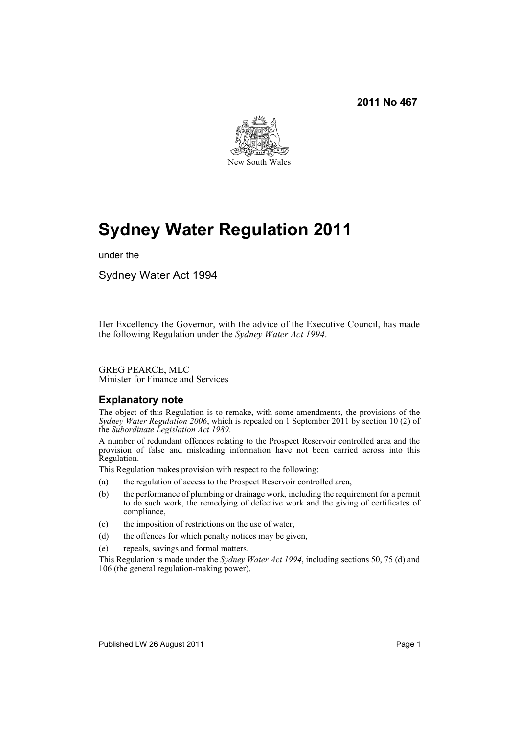

# **Sydney Water Regulation 2011**

under the

Sydney Water Act 1994

Her Excellency the Governor, with the advice of the Executive Council, has made the following Regulation under the *Sydney Water Act 1994*.

GREG PEARCE, MLC Minister for Finance and Services

### **Explanatory note**

The object of this Regulation is to remake, with some amendments, the provisions of the *Sydney Water Regulation 2006*, which is repealed on 1 September 2011 by section 10 (2) of the *Subordinate Legislation Act 1989*.

A number of redundant offences relating to the Prospect Reservoir controlled area and the provision of false and misleading information have not been carried across into this Regulation.

This Regulation makes provision with respect to the following:

- (a) the regulation of access to the Prospect Reservoir controlled area,
- (b) the performance of plumbing or drainage work, including the requirement for a permit to do such work, the remedying of defective work and the giving of certificates of compliance,
- (c) the imposition of restrictions on the use of water,
- (d) the offences for which penalty notices may be given,
- (e) repeals, savings and formal matters.

This Regulation is made under the *Sydney Water Act 1994*, including sections 50, 75 (d) and 106 (the general regulation-making power).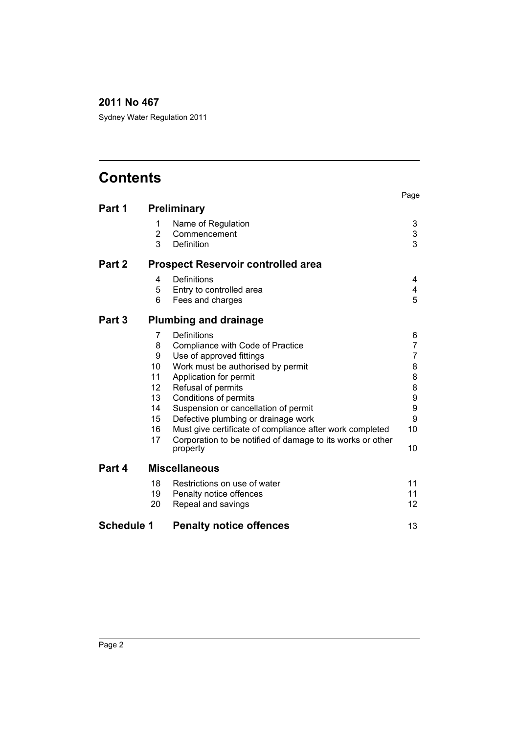Sydney Water Regulation 2011

# **Contents**

|                   |                                           |                                                                        | Page   |  |
|-------------------|-------------------------------------------|------------------------------------------------------------------------|--------|--|
| Part 1            |                                           | <b>Preliminary</b>                                                     |        |  |
|                   | 1<br>$\overline{2}$                       | Name of Regulation<br>Commencement                                     | 3<br>3 |  |
|                   | 3                                         | Definition                                                             | 3      |  |
| Part 2            | <b>Prospect Reservoir controlled area</b> |                                                                        |        |  |
|                   | 4                                         | Definitions                                                            | 4      |  |
|                   | 5                                         | Entry to controlled area                                               | 4      |  |
|                   | 6                                         | Fees and charges                                                       | 5      |  |
| Part 3            | <b>Plumbing and drainage</b>              |                                                                        |        |  |
|                   | 7                                         | Definitions                                                            | 6      |  |
|                   | 8                                         | Compliance with Code of Practice                                       | 7      |  |
|                   | 9                                         | Use of approved fittings                                               | 7      |  |
|                   | 10                                        | Work must be authorised by permit                                      | 8      |  |
|                   | 11                                        | Application for permit                                                 | 8      |  |
|                   | 12                                        | Refusal of permits                                                     | 8      |  |
|                   | 13                                        | Conditions of permits                                                  | 9      |  |
|                   | 14                                        | Suspension or cancellation of permit                                   | 9      |  |
|                   | 15                                        | Defective plumbing or drainage work                                    | 9      |  |
|                   | 16                                        | Must give certificate of compliance after work completed               | 10     |  |
|                   | 17                                        | Corporation to be notified of damage to its works or other<br>property | 10     |  |
| Part 4            |                                           | <b>Miscellaneous</b>                                                   |        |  |
|                   | 18                                        | Restrictions on use of water                                           | 11     |  |
|                   | 19                                        | Penalty notice offences                                                | 11     |  |
|                   | 20                                        | Repeal and savings                                                     | 12     |  |
| <b>Schedule 1</b> |                                           | <b>Penalty notice offences</b>                                         | 13     |  |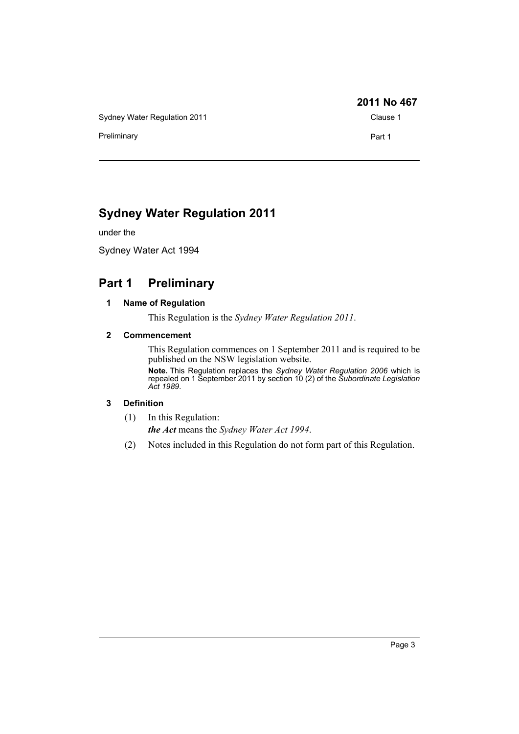Sydney Water Regulation 2011 Clause 1

Preliminary **Preliminary Part 1** 

### **2011 No 467**

# **Sydney Water Regulation 2011**

under the

Sydney Water Act 1994

# <span id="page-2-1"></span><span id="page-2-0"></span>**Part 1 Preliminary**

#### **1 Name of Regulation**

This Regulation is the *Sydney Water Regulation 2011*.

#### <span id="page-2-2"></span>**2 Commencement**

This Regulation commences on 1 September 2011 and is required to be published on the NSW legislation website.

**Note.** This Regulation replaces the *Sydney Water Regulation 2006* which is repealed on 1 September 2011 by section 10 (2) of the *Subordinate Legislation Act 1989*.

#### <span id="page-2-3"></span>**3 Definition**

(1) In this Regulation:

*the Act* means the *Sydney Water Act 1994*.

(2) Notes included in this Regulation do not form part of this Regulation.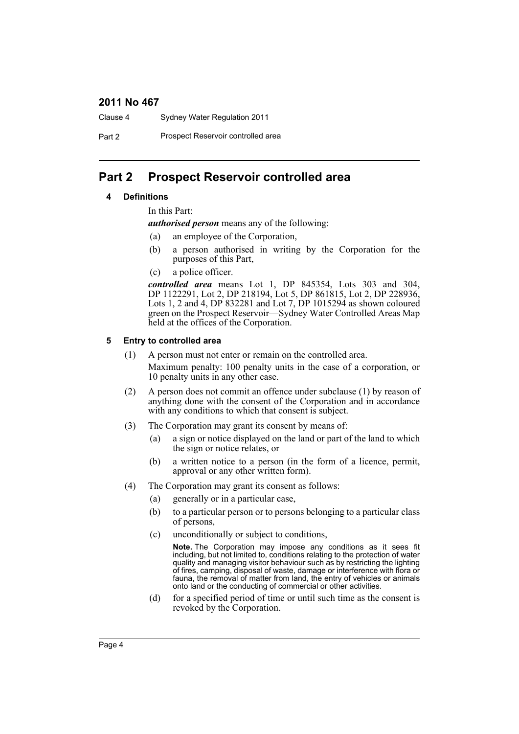Clause 4 Sydney Water Regulation 2011

Part 2 Prospect Reservoir controlled area

## <span id="page-3-1"></span><span id="page-3-0"></span>**Part 2 Prospect Reservoir controlled area**

#### **4 Definitions**

In this Part:

*authorised person* means any of the following:

- (a) an employee of the Corporation,
- (b) a person authorised in writing by the Corporation for the purposes of this Part,
- (c) a police officer.

*controlled area* means Lot 1, DP 845354, Lots 303 and 304, DP 1122291, Lot 2, DP 218194, Lot 5, DP 861815, Lot 2, DP 228936, Lots 1, 2 and 4, DP 832281 and Lot 7, DP 1015294 as shown coloured green on the Prospect Reservoir—Sydney Water Controlled Areas Map held at the offices of the Corporation.

#### <span id="page-3-2"></span>**5 Entry to controlled area**

- (1) A person must not enter or remain on the controlled area. Maximum penalty: 100 penalty units in the case of a corporation, or 10 penalty units in any other case.
- (2) A person does not commit an offence under subclause (1) by reason of anything done with the consent of the Corporation and in accordance with any conditions to which that consent is subject.
- (3) The Corporation may grant its consent by means of:
	- (a) a sign or notice displayed on the land or part of the land to which the sign or notice relates, or
	- (b) a written notice to a person (in the form of a licence, permit, approval or any other written form).
- (4) The Corporation may grant its consent as follows:
	- (a) generally or in a particular case,
	- (b) to a particular person or to persons belonging to a particular class of persons,
	- (c) unconditionally or subject to conditions,

**Note.** The Corporation may impose any conditions as it sees fit including, but not limited to, conditions relating to the protection of water quality and managing visitor behaviour such as by restricting the lighting of fires, camping, disposal of waste, damage or interference with flora or fauna, the removal of matter from land, the entry of vehicles or animals onto land or the conducting of commercial or other activities.

(d) for a specified period of time or until such time as the consent is revoked by the Corporation.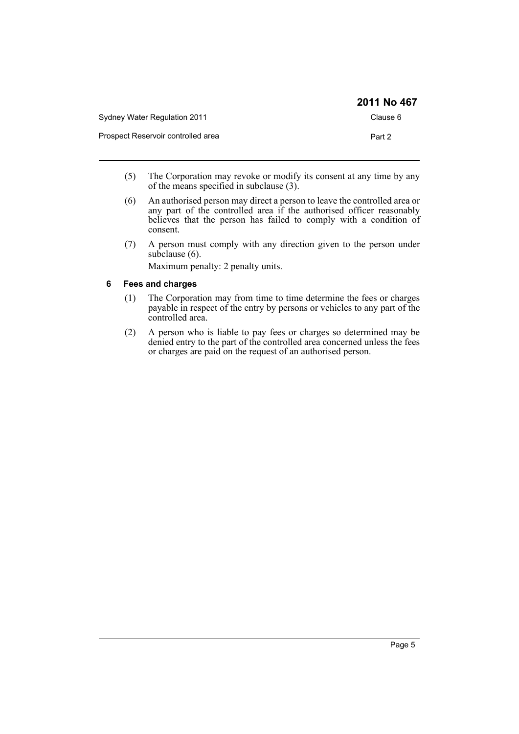|                                    | 2011 No 467 |
|------------------------------------|-------------|
| Sydney Water Regulation 2011       | Clause 6    |
| Prospect Reservoir controlled area | Part 2      |

- (5) The Corporation may revoke or modify its consent at any time by any of the means specified in subclause (3).
- (6) An authorised person may direct a person to leave the controlled area or any part of the controlled area if the authorised officer reasonably believes that the person has failed to comply with a condition of consent.
- (7) A person must comply with any direction given to the person under subclause (6).

Maximum penalty: 2 penalty units.

#### <span id="page-4-0"></span>**6 Fees and charges**

- (1) The Corporation may from time to time determine the fees or charges payable in respect of the entry by persons or vehicles to any part of the controlled area.
- (2) A person who is liable to pay fees or charges so determined may be denied entry to the part of the controlled area concerned unless the fees or charges are paid on the request of an authorised person.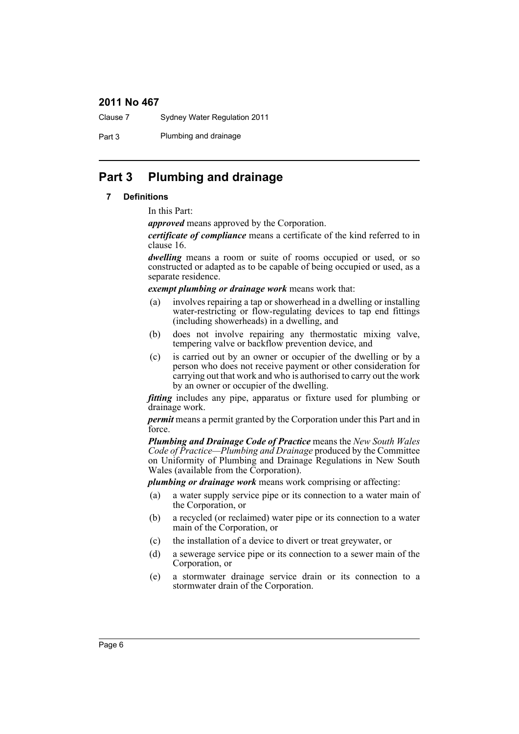Clause 7 Sydney Water Regulation 2011

Part 3 Plumbing and drainage

# <span id="page-5-1"></span><span id="page-5-0"></span>**Part 3 Plumbing and drainage**

#### **7 Definitions**

In this Part:

*approved* means approved by the Corporation.

*certificate of compliance* means a certificate of the kind referred to in clause 16.

*dwelling* means a room or suite of rooms occupied or used, or so constructed or adapted as to be capable of being occupied or used, as a separate residence.

*exempt plumbing or drainage work* means work that:

- (a) involves repairing a tap or showerhead in a dwelling or installing water-restricting or flow-regulating devices to tap end fittings (including showerheads) in a dwelling, and
- (b) does not involve repairing any thermostatic mixing valve, tempering valve or backflow prevention device, and
- (c) is carried out by an owner or occupier of the dwelling or by a person who does not receive payment or other consideration for carrying out that work and who is authorised to carry out the work by an owner or occupier of the dwelling.

*fitting* includes any pipe, apparatus or fixture used for plumbing or drainage work.

*permit* means a permit granted by the Corporation under this Part and in force.

*Plumbing and Drainage Code of Practice* means the *New South Wales Code of Practice—Plumbing and Drainage* produced by the Committee on Uniformity of Plumbing and Drainage Regulations in New South Wales (available from the Corporation).

*plumbing or drainage work* means work comprising or affecting:

- (a) a water supply service pipe or its connection to a water main of the Corporation, or
- (b) a recycled (or reclaimed) water pipe or its connection to a water main of the Corporation, or
- (c) the installation of a device to divert or treat greywater, or
- (d) a sewerage service pipe or its connection to a sewer main of the Corporation, or
- (e) a stormwater drainage service drain or its connection to a stormwater drain of the Corporation.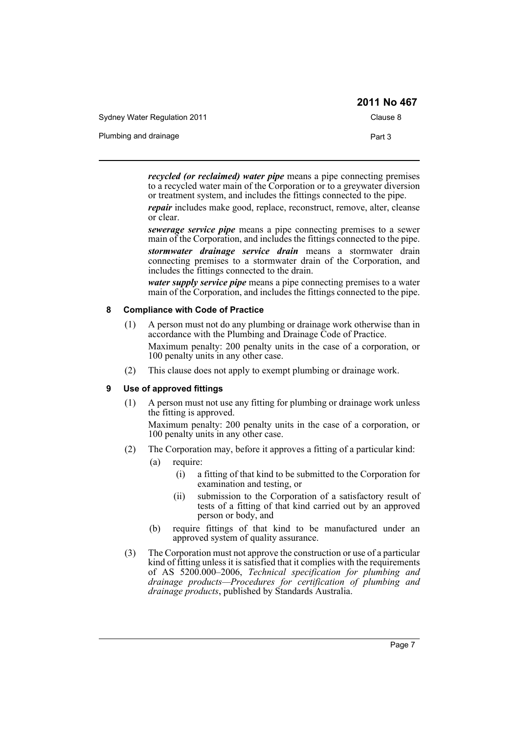|                              | 2011 No 467 |
|------------------------------|-------------|
| Sydney Water Regulation 2011 | Clause 8    |
| Plumbing and drainage        | Part 3      |

*recycled (or reclaimed) water pipe* means a pipe connecting premises to a recycled water main of the Corporation or to a greywater diversion or treatment system, and includes the fittings connected to the pipe.

*repair* includes make good, replace, reconstruct, remove, alter, cleanse or clear.

*sewerage service pipe* means a pipe connecting premises to a sewer main of the Corporation, and includes the fittings connected to the pipe. *stormwater drainage service drain* means a stormwater drain connecting premises to a stormwater drain of the Corporation, and includes the fittings connected to the drain.

*water supply service pipe* means a pipe connecting premises to a water main of the Corporation, and includes the fittings connected to the pipe.

#### <span id="page-6-0"></span>**8 Compliance with Code of Practice**

- (1) A person must not do any plumbing or drainage work otherwise than in accordance with the Plumbing and Drainage Code of Practice. Maximum penalty: 200 penalty units in the case of a corporation, or 100 penalty units in any other case.
- (2) This clause does not apply to exempt plumbing or drainage work.

#### <span id="page-6-1"></span>**9 Use of approved fittings**

(1) A person must not use any fitting for plumbing or drainage work unless the fitting is approved.

Maximum penalty: 200 penalty units in the case of a corporation, or 100 penalty units in any other case.

- (2) The Corporation may, before it approves a fitting of a particular kind:
	- (a) require:
		- (i) a fitting of that kind to be submitted to the Corporation for examination and testing, or
		- (ii) submission to the Corporation of a satisfactory result of tests of a fitting of that kind carried out by an approved person or body, and
	- (b) require fittings of that kind to be manufactured under an approved system of quality assurance.
- (3) The Corporation must not approve the construction or use of a particular kind of fitting unless it is satisfied that it complies with the requirements of AS 5200.000–2006, *Technical specification for plumbing and drainage products—Procedures for certification of plumbing and drainage products*, published by Standards Australia.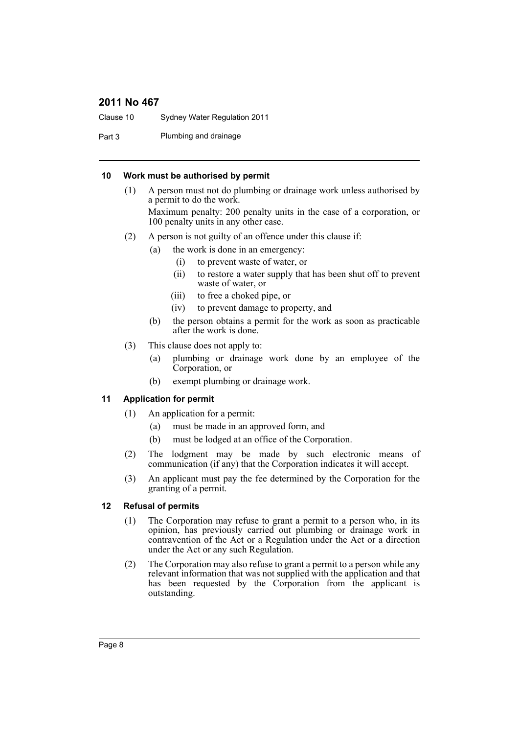Clause 10 Sydney Water Regulation 2011

Part 3 Plumbing and drainage

#### <span id="page-7-0"></span>**10 Work must be authorised by permit**

(1) A person must not do plumbing or drainage work unless authorised by a permit to do the work.

Maximum penalty: 200 penalty units in the case of a corporation, or 100 penalty units in any other case.

- (2) A person is not guilty of an offence under this clause if:
	- (a) the work is done in an emergency:
		- (i) to prevent waste of water, or
		- (ii) to restore a water supply that has been shut off to prevent waste of water, or
		- (iii) to free a choked pipe, or
		- (iv) to prevent damage to property, and
	- (b) the person obtains a permit for the work as soon as practicable after the work is done.
- (3) This clause does not apply to:
	- (a) plumbing or drainage work done by an employee of the Corporation, or
	- (b) exempt plumbing or drainage work.

#### <span id="page-7-1"></span>**11 Application for permit**

- (1) An application for a permit:
	- (a) must be made in an approved form, and
	- (b) must be lodged at an office of the Corporation.
- (2) The lodgment may be made by such electronic means of communication (if any) that the Corporation indicates it will accept.
- (3) An applicant must pay the fee determined by the Corporation for the granting of a permit.

#### <span id="page-7-2"></span>**12 Refusal of permits**

- (1) The Corporation may refuse to grant a permit to a person who, in its opinion, has previously carried out plumbing or drainage work in contravention of the Act or a Regulation under the Act or a direction under the Act or any such Regulation.
- (2) The Corporation may also refuse to grant a permit to a person while any relevant information that was not supplied with the application and that has been requested by the Corporation from the applicant is outstanding.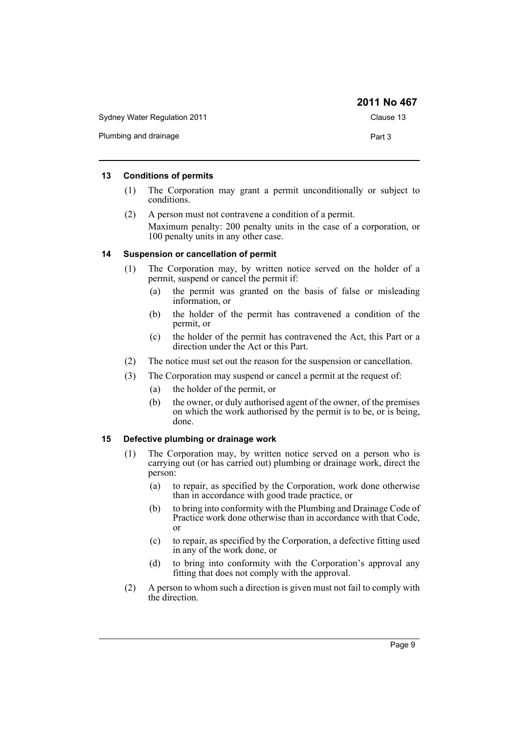|                              | 2011 No 467 |
|------------------------------|-------------|
| Sydney Water Regulation 2011 | Clause 13   |
| Plumbing and drainage        | Part 3      |

#### <span id="page-8-0"></span>**13 Conditions of permits**

- (1) The Corporation may grant a permit unconditionally or subject to conditions.
- (2) A person must not contravene a condition of a permit. Maximum penalty: 200 penalty units in the case of a corporation, or 100 penalty units in any other case.

#### <span id="page-8-1"></span>**14 Suspension or cancellation of permit**

- (1) The Corporation may, by written notice served on the holder of a permit, suspend or cancel the permit if:
	- (a) the permit was granted on the basis of false or misleading information, or
	- (b) the holder of the permit has contravened a condition of the permit, or
	- (c) the holder of the permit has contravened the Act, this Part or a direction under the Act or this Part.
- (2) The notice must set out the reason for the suspension or cancellation.
- (3) The Corporation may suspend or cancel a permit at the request of:
	- (a) the holder of the permit, or
	- (b) the owner, or duly authorised agent of the owner, of the premises on which the work authorised by the permit is to be, or is being, done.

#### <span id="page-8-2"></span>**15 Defective plumbing or drainage work**

- (1) The Corporation may, by written notice served on a person who is carrying out (or has carried out) plumbing or drainage work, direct the person:
	- (a) to repair, as specified by the Corporation, work done otherwise than in accordance with good trade practice, or
	- (b) to bring into conformity with the Plumbing and Drainage Code of Practice work done otherwise than in accordance with that Code, or
	- (c) to repair, as specified by the Corporation, a defective fitting used in any of the work done, or
	- (d) to bring into conformity with the Corporation's approval any fitting that does not comply with the approval.
- (2) A person to whom such a direction is given must not fail to comply with the direction.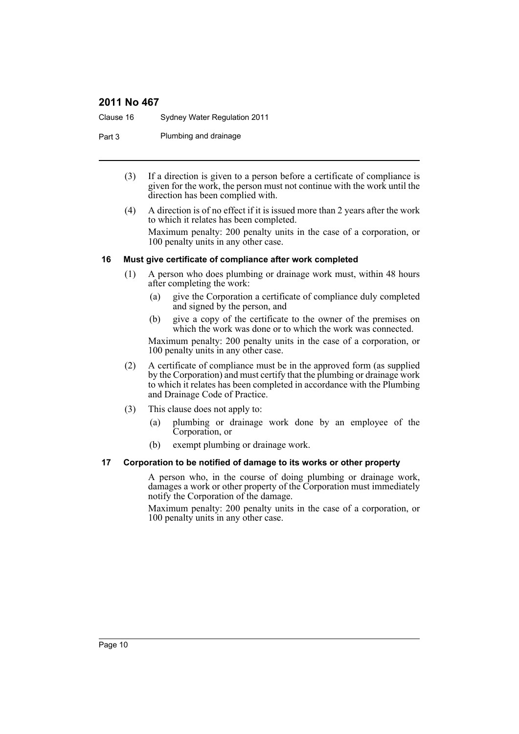Clause 16 Sydney Water Regulation 2011

Part 3 Plumbing and drainage

- (3) If a direction is given to a person before a certificate of compliance is given for the work, the person must not continue with the work until the direction has been complied with.
- (4) A direction is of no effect if it is issued more than 2 years after the work to which it relates has been completed. Maximum penalty: 200 penalty units in the case of a corporation, or

100 penalty units in any other case.

#### <span id="page-9-0"></span>**16 Must give certificate of compliance after work completed**

- (1) A person who does plumbing or drainage work must, within 48 hours after completing the work:
	- (a) give the Corporation a certificate of compliance duly completed and signed by the person, and
	- (b) give a copy of the certificate to the owner of the premises on which the work was done or to which the work was connected.

Maximum penalty: 200 penalty units in the case of a corporation, or 100 penalty units in any other case.

- (2) A certificate of compliance must be in the approved form (as supplied by the Corporation) and must certify that the plumbing or drainage work to which it relates has been completed in accordance with the Plumbing and Drainage Code of Practice.
- (3) This clause does not apply to:
	- (a) plumbing or drainage work done by an employee of the Corporation, or
	- (b) exempt plumbing or drainage work.

#### <span id="page-9-1"></span>**17 Corporation to be notified of damage to its works or other property**

A person who, in the course of doing plumbing or drainage work, damages a work or other property of the Corporation must immediately notify the Corporation of the damage.

Maximum penalty: 200 penalty units in the case of a corporation, or 100 penalty units in any other case.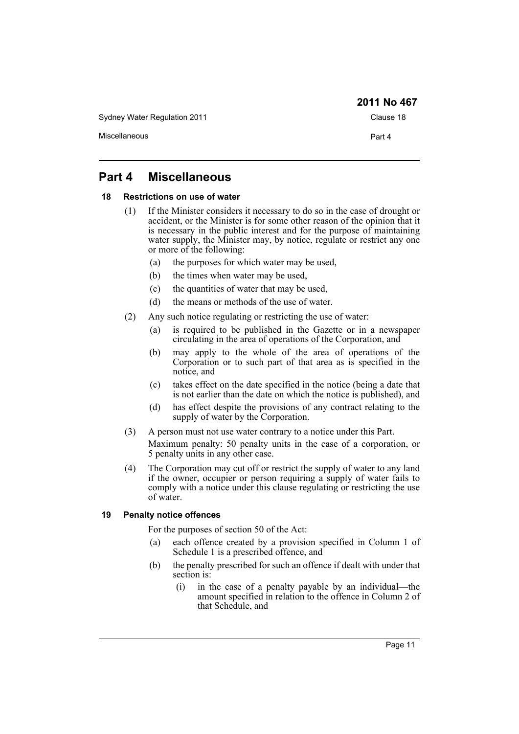Sydney Water Regulation 2011 Clause 18 Miscellaneous **Part 4** 

# <span id="page-10-0"></span>**Part 4 Miscellaneous**

#### <span id="page-10-1"></span>**18 Restrictions on use of water**

- (1) If the Minister considers it necessary to do so in the case of drought or accident, or the Minister is for some other reason of the opinion that it is necessary in the public interest and for the purpose of maintaining water supply, the Minister may, by notice, regulate or restrict any one or more of the following:
	- (a) the purposes for which water may be used,
	- (b) the times when water may be used,
	- (c) the quantities of water that may be used,
	- (d) the means or methods of the use of water.
- (2) Any such notice regulating or restricting the use of water:
	- (a) is required to be published in the Gazette or in a newspaper circulating in the area of operations of the Corporation, and
	- (b) may apply to the whole of the area of operations of the Corporation or to such part of that area as is specified in the notice, and
	- (c) takes effect on the date specified in the notice (being a date that is not earlier than the date on which the notice is published), and
	- (d) has effect despite the provisions of any contract relating to the supply of water by the Corporation.
- (3) A person must not use water contrary to a notice under this Part.

Maximum penalty: 50 penalty units in the case of a corporation, or 5 penalty units in any other case.

(4) The Corporation may cut off or restrict the supply of water to any land if the owner, occupier or person requiring a supply of water fails to comply with a notice under this clause regulating or restricting the use of water.

#### <span id="page-10-2"></span>**19 Penalty notice offences**

For the purposes of section 50 of the Act:

- (a) each offence created by a provision specified in Column 1 of Schedule 1 is a prescribed offence, and
- (b) the penalty prescribed for such an offence if dealt with under that section is:
	- (i) in the case of a penalty payable by an individual—the amount specified in relation to the offence in Column 2 of that Schedule, and

**2011 No 467**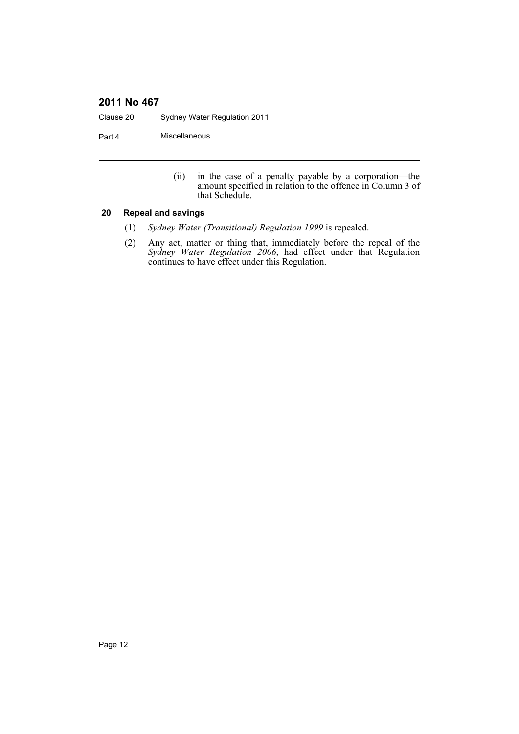Clause 20 Sydney Water Regulation 2011

Part 4 Miscellaneous

(ii) in the case of a penalty payable by a corporation—the amount specified in relation to the offence in Column 3 of that Schedule.

#### <span id="page-11-0"></span>**20 Repeal and savings**

- (1) *Sydney Water (Transitional) Regulation 1999* is repealed.
- (2) Any act, matter or thing that, immediately before the repeal of the *Sydney Water Regulation 2006*, had effect under that Regulation continues to have effect under this Regulation.